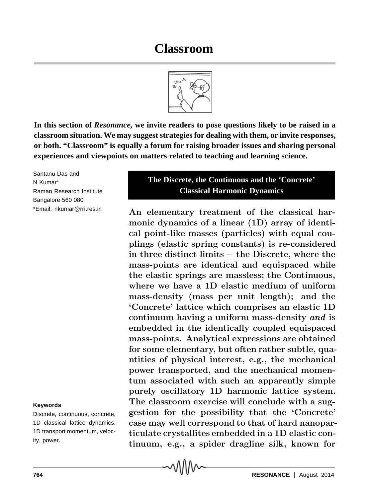

**In this section of** *Resonance,* **we invite readers to pose questions likely to be raised in a classroom situation. We may suggest strategies for dealing with them, or invite responses, or both. "Classroom" is equally a forum for raising broader issues and sharing personal experiences and viewpoints on matters related to teaching and learning science.**

Santanu Das and N Kumar\* Raman Research Institute Bangalore 560 080

#### **Keywords**

Discrete, continuous, concrete, 1D classical lattice dynamics, 1D transport momentum, velocity, power.

**The Discrete, the Continuous and the 'Concrete' Classical Harmonic Dynamics**

\*Email: nkumar@rri.res.in **An elementary treatment of the classical harmonic dynamics of a linear (1D) array of identical point-like masses (particles) with equal couplings (elastic spring constants) is re-considered in three distinct limits** *−* **the Discrete, where the mass-points are identical and equispaced while the elastic springs are massless; the Continuous, where we have a 1D elastic medium of uniform mass-density (mass per unit length); and the 'Concrete' lattice which comprises an elastic 1D continuum having a uniform mass-density** *and* **is embedded in the identically coupled equispaced mass-points. Analytical expressions are obtained for some elementary, but often rather subtle, quantities of physical interest, e.g., the mechanical power transported, and the mechanical momentum associated with such an apparently simple purely oscillatory 1D harmonic lattice system. The classroom exercise will conclude with a suggestion for the possibility that the 'Concrete' case may well correspond to that of hard nanoparticulate crystallites embedded in a 1D elastic continuum, e.g., a spider dragline silk, known for**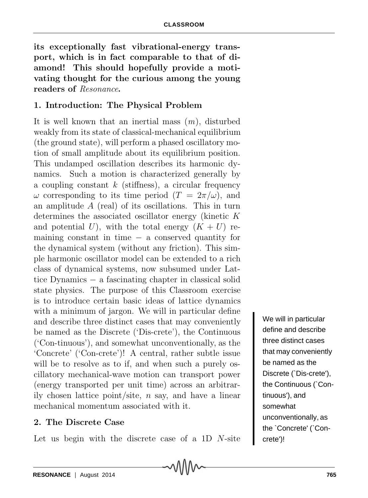**its exceptionally fast vibrational-energy transport, which is in fact comparable to that of diamond! This should hopefully provide a motivating thought for the curious among the young readers of** *Resonance***.**

# **1. Introduction: The Physical Problem**

It is well known that an inertial mass (*m*), disturbed weakly from its state of classical-mechanical equilibrium (the ground state), will perform a phased oscillatory motion of small amplitude about its equilibrium position. This undamped oscillation describes its harmonic dynamics. Such a motion is characterized generally by a coupling constant  $k$  (stiffness), a circular frequency  $\omega$  corresponding to its time period  $(T = 2\pi/\omega)$ , and an amplitude A (real) of its oscillations. This in turn determines the associated oscillator energy (kinetic K and potential U), with the total energy  $(K + U)$  remaining constant in time *−* a conserved quantity for the dynamical system (without any friction). This simple harmonic oscillator model can be extended to a rich class of dynamical systems, now subsumed under Lattice Dynamics *−* a fascinating chapter in classical solid state physics. The purpose of this Classroom exercise is to introduce certain basic ideas of lattice dynamics with a minimum of jargon. We will in particular define and describe three distinct cases that may conveniently be named as the Discrete ('Dis-crete'), the Continuous ('Con-tinuous'), and somewhat unconventionally, as the 'Concrete' ('Con-crete')! A central, rather subtle issue will be to resolve as to if, and when such a purely oscillatory mechanical-wave motion can transport power (energy transported per unit time) across an arbitrarily chosen lattice point/site,  $n$  say, and have a linear mechanical momentum associated with it.

### **2. The Discrete Case**

Let us begin with the discrete case of a  $1D$  N-site

We will in particular define and describe three distinct cases that may conveniently be named as the Discrete (`Dis-crete'), the Continuous (`Continuous'), and somewhat unconventionally, as the `Concrete' (`Concrete')!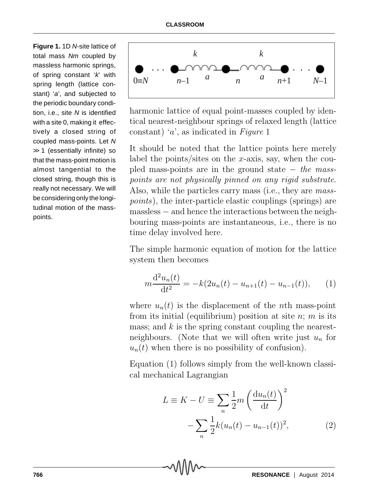**Figure 1.** 1D *N*-site lattice of total mass *Nm* coupled by massless harmonic springs, of spring constant '*k*' with spring length (lattice constant) '*a*', and subjected to the periodic boundary condition, i.e., site *N* is identified with a site 0, making it effectively a closed string of coupled mass-points. Let *N* >> 1 (essentially infinite) so that the mass-point motion is almost tangential to the closed string, though this is really not necessary. We will be considering only the longitudinal motion of the masspoints.



harmonic lattice of equal point-masses coupled by identical nearest-neighbour springs of relaxed length (lattice constant) 'a', as indicated in *Figure* 1

It should be noted that the lattice points here merely label the points/sites on the x-axis, say, when the coupled mass-points are in the ground state *− the masspoints are not physically pinned on any rigid substrate*. Also, while the particles carry mass (i.e., they are *masspoints*), the inter-particle elastic couplings (springs) are massless *−* and hence the interactions between the neighbouring mass-points are instantaneous, i.e., there is no time delay involved here.

The simple harmonic equation of motion for the lattice system then becomes

$$
m\frac{d^2u_n(t)}{dt^2} = -k(2u_n(t) - u_{n+1}(t) - u_{n-1}(t)), \qquad (1)
$$

where  $u_n(t)$  is the displacement of the *n*th mass-point from its initial (equilibrium) position at site  $n; m$  is its mass; and  $k$  is the spring constant coupling the nearestneighbours. (Note that we will often write just u*<sup>n</sup>* for  $u_n(t)$  when there is no possibility of confusion).

Equation (1) follows simply from the well-known classical mechanical Lagrangian

$$
L \equiv K - U \equiv \sum_{n} \frac{1}{2} m \left( \frac{\mathrm{d}u_n(t)}{\mathrm{d}t} \right)^2
$$

$$
-\sum_{n} \frac{1}{2} k (u_n(t) - u_{n-1}(t))^2, \tag{2}
$$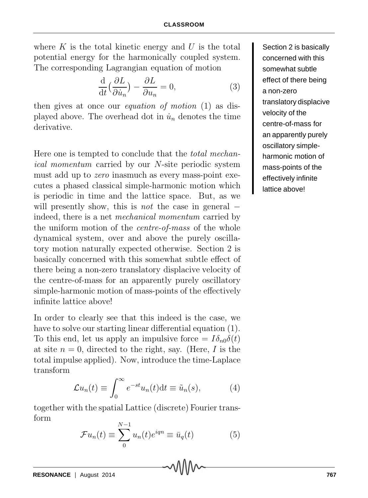where  $K$  is the total kinetic energy and  $U$  is the total potential energy for the harmonically coupled system. The corresponding Lagrangian equation of motion

$$
\frac{\mathrm{d}}{\mathrm{d}t} \left( \frac{\partial L}{\partial \dot{u}_n} \right) - \frac{\partial L}{\partial u_n} = 0,\tag{3}
$$

then gives at once our *equation of motion* (1) as displayed above. The overhead dot in  $\dot{u}_n$  denotes the time derivative.

Here one is tempted to conclude that the *total mechanical momentum* carried by our N-site periodic system must add up to *zero* inasmuch as every mass-point executes a phased classical simple-harmonic motion which is periodic in time and the lattice space. But, as we will presently show, this is *not* the case in general *−* indeed, there is a net *mechanical momentum* carried by the uniform motion of the *centre-of-mass* of the whole dynamical system, over and above the purely oscillatory motion naturally expected otherwise. Section 2 is basically concerned with this somewhat subtle effect of there being a non-zero translatory displacive velocity of the centre-of-mass for an apparently purely oscillatory simple-harmonic motion of mass-points of the effectively infinite lattice above!

In order to clearly see that this indeed is the case, we have to solve our starting linear differential equation (1). To this end, let us apply an impulsive force  $= I \delta_{n0} \delta(t)$ at site  $n = 0$ , directed to the right, say. (Here, I is the total impulse applied). Now, introduce the time-Laplace transform

$$
\mathcal{L}u_n(t) \equiv \int_0^\infty e^{-st} u_n(t) dt \equiv \tilde{u}_n(s), \tag{4}
$$

together with the spatial Lattice (discrete) Fourier transform

$$
\mathcal{F}u_n(t) \equiv \sum_0^{N-1} u_n(t)e^{iqn} \equiv \bar{u}_q(t) \tag{5}
$$

Section 2 is basically concerned with this somewhat subtle effect of there being a non-zero translatory displacive velocity of the centre-of-mass for an apparently purely oscillatory simpleharmonic motion of mass-points of the effectively infinite lattice above!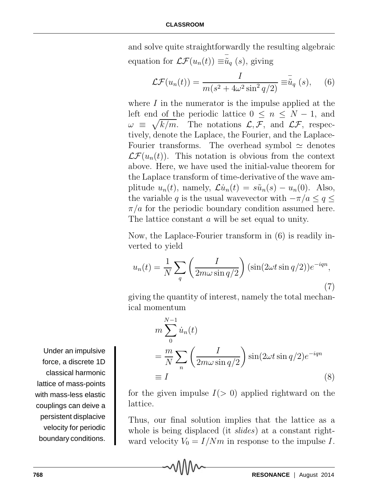and solve quite straightforwardly the resulting algebraic equation for  $\mathcal{LF}(u_n(t)) \equiv \tilde{u}_q(s)$ , giving

$$
\mathcal{LF}(u_n(t)) = \frac{I}{m(s^2 + 4\omega^2 \sin^2 q/2)} \equiv \bar{\tilde{u}}_q \ (s), \quad \text{(6)}
$$

where  $I$  in the numerator is the impulse applied at the left end of the periodic lattice  $0 \leq n \leq N-1$ , and  $\omega \equiv \sqrt{k/m}$ . The notations  $\mathcal{L}, \mathcal{F}$ , and  $\mathcal{LF}$ , respectively, denote the Laplace, the Fourier, and the Laplace-Fourier transforms. The overhead symbol  $\simeq$  denotes  $\mathcal{LF}(u_n(t))$ . This notation is obvious from the context above. Here, we have used the initial-value theorem for the Laplace transform of time-derivative of the wave amplitude  $u_n(t)$ , namely,  $\mathcal{L}u_n(t) = s\tilde{u}_n(s) - u_n(0)$ . Also, the variable q is the usual wavevector with  $-\pi/a \leq q \leq$  $\pi/a$  for the periodic boundary condition assumed here. The lattice constant a will be set equal to unity.

Now, the Laplace-Fourier transform in (6) is readily inverted to yield

$$
u_n(t) = \frac{1}{N} \sum_{q} \left( \frac{I}{2m\omega \sin q/2} \right) (\sin(2\omega t \sin q/2)) e^{-iqn},\tag{7}
$$

giving the quantity of interest, namely the total mechanical momentum

$$
m\sum_{0}^{N-1} \dot{u}_{n}(t)
$$
  
=  $\frac{m}{N} \sum_{n} \left( \frac{I}{2m\omega \sin q/2} \right) \sin(2\omega t \sin q/2) e^{-iqn}$   
\equiv I (8)

for the given impulse  $I(> 0)$  applied rightward on the lattice.

Thus, our final solution implies that the lattice as a whole is being displaced (it *slides*) at a constant rightward velocity  $V_0 = I/Nm$  in response to the impulse I.

Under an impulsive force, a discrete 1D classical harmonic lattice of mass-points with mass-less elastic couplings can deive a persistent displacive velocity for periodic boundary conditions.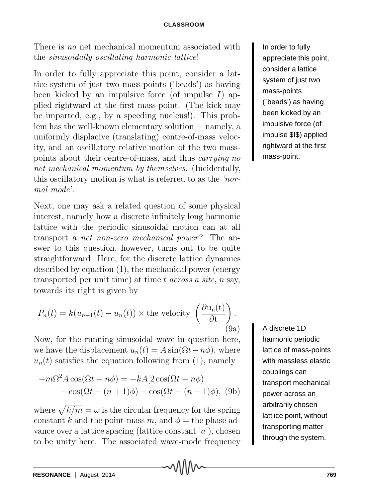There is *no* net mechanical momentum associated with the *sinusoidally oscillating harmonic lattice*!

In order to fully appreciate this point, consider a lattice system of just two mass-points ('beads') as having been kicked by an impulsive force (of impulse  $I$ ) applied rightward at the first mass-point. (The kick may be imparted, e.g., by a speeding nucleus!). This problem has the well-known elementary solution *−* namely, a uniformly displacive (translating) centre-of-mass velocity, and an oscillatory relative motion of the two masspoints about their centre-of-mass, and thus *carrying no net mechanical momentum by themselves*. (Incidentally, this oscillatory motion is what is referred to as the *'normal mode*'.

Next, one may ask a related question of some physical interest, namely how a discrete infinitely long harmonic lattice with the periodic sinusoidal motion can at all transport a *net non-zero mechanical power*? The answer to this question, however, turns out to be quite straightforward. Here, for the discrete lattice dynamics described by equation (1), the mechanical power (energy transported per unit time) at time t *across a site*, n say, towards its right is given by

$$
P_n(t) = k(u_{n-1}(t) - u_n(t)) \times \text{the velocity } \left(\frac{\partial u_n(t)}{\partial t}\right).
$$
\n(9a)

Now, for the running sinusoidal wave in question here, we have the displacement  $u_n(t) = A \sin(\Omega t - n\phi)$ , where  $u_n(t)$  satisfies the equation following from (1), namely

$$
-m\Omega^2 A \cos(\Omega t - n\phi) = -kA[2\cos(\Omega t - n\phi) - \cos(\Omega t - (n+1)\phi) - \cos(\Omega t - (n-1)\phi), (9b)
$$

where  $\sqrt{k/m} = \omega$  is the circular frequency for the spring constant k and the point-mass m, and  $\phi =$  the phase advance over a lattice spacing (lattice constant  $a'$ ), chosen to be unity here. The associated wave-mode frequency

In order to fully appreciate this point, consider a lattice system of just two mass-points (`beads') as having been kicked by an impulsive force (of impulse \$I\$) applied rightward at the first mass-point.

A discrete 1D harmonic periodic lattice of mass-points with massless elastic couplings can transport mechanical power across an arbitrarily chosen lattiice point, without transporting matter through the system.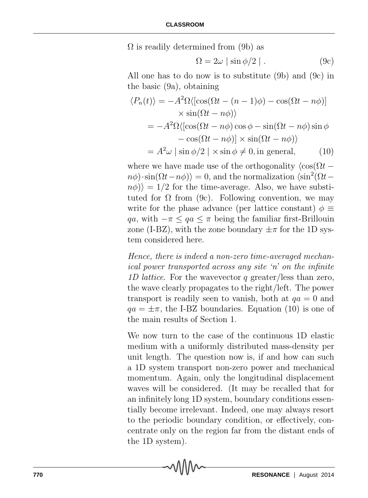$\Omega$  is readily determined from (9b) as

$$
\Omega = 2\omega \mid \sin \phi/2 \mid . \tag{9c}
$$

All one has to do now is to substitute (9b) and (9c) in the basic (9a), obtaining

$$
\langle P_n(t) \rangle = -A^2 \Omega \langle [\cos(\Omega t - (n-1)\phi) - \cos(\Omega t - n\phi)]
$$
  
 
$$
\times \sin(\Omega t - n\phi) \rangle
$$
  
= 
$$
-A^2 \Omega \langle [\cos(\Omega t - n\phi) \cos \phi - \sin(\Omega t - n\phi) \sin \phi
$$
  

$$
- \cos(\Omega t - n\phi)] \times \sin(\Omega t - n\phi) \rangle
$$
  
= 
$$
A^2 \omega \mid \sin \phi/2 \mid \times \sin \phi \neq 0, \text{ in general,} \qquad (10)
$$

where we have made use of the orthogonality  $\langle \cos(\Omega t$  $n\phi$ )·sin( $\Omega t - n\phi$ ) = 0, and the normalization  $\langle \sin^2(\Omega t - \phi) \rangle$  $n\phi$ ) = 1/2 for the time-average. Also, we have substituted for  $\Omega$  from (9c). Following convention, we may write for the phase advance (per lattice constant)  $\phi \equiv$ qa, with  $-\pi < qa < \pi$  being the familiar first-Brillouin zone (I-BZ), with the zone boundary *±*π for the 1D system considered here.

*Hence, there is indeed a non-zero time-averaged mechanical power transported across any site 'n' on the infinite 1D lattice*. For the wavevector q greater/less than zero, the wave clearly propagates to the right/left. The power transport is readily seen to vanish, both at  $qa = 0$  and  $qa = \pm \pi$ , the I-BZ boundaries. Equation (10) is one of the main results of Section 1.

We now turn to the case of the continuous 1D elastic medium with a uniformly distributed mass-density per unit length. The question now is, if and how can such a 1D system transport non-zero power and mechanical momentum. Again, only the longitudinal displacement waves will be considered. (It may be recalled that for an infinitely long 1D system, boundary conditions essentially become irrelevant. Indeed, one may always resort to the periodic boundary condition, or effectively, concentrate only on the region far from the distant ends of the 1D system).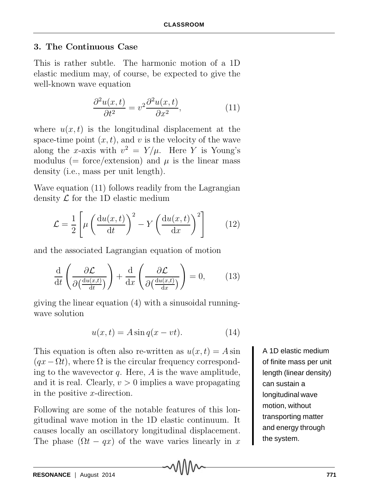# **3. The Continuous Case**

This is rather subtle. The harmonic motion of a 1D elastic medium may, of course, be expected to give the well-known wave equation

$$
\frac{\partial^2 u(x,t)}{\partial t^2} = v^2 \frac{\partial^2 u(x,t)}{\partial x^2},\tag{11}
$$

where  $u(x, t)$  is the longitudinal displacement at the space-time point  $(x, t)$ , and v is the velocity of the wave along the x-axis with  $v^2 = Y/\mu$ . Here Y is Young's modulus (= force/extension) and  $\mu$  is the linear mass density (i.e., mass per unit length).

Wave equation (11) follows readily from the Lagrangian density *L* for the 1D elastic medium

$$
\mathcal{L} = \frac{1}{2} \left[ \mu \left( \frac{\mathrm{d}u(x,t)}{\mathrm{d}t} \right)^2 - Y \left( \frac{\mathrm{d}u(x,t)}{\mathrm{d}x} \right)^2 \right] \tag{12}
$$

and the associated Lagrangian equation of motion

$$
\frac{\mathrm{d}}{\mathrm{d}t}\left(\frac{\partial \mathcal{L}}{\partial\left(\frac{\mathrm{d}u(x,t)}{\mathrm{d}t}\right)}\right) + \frac{\mathrm{d}}{\mathrm{d}x}\left(\frac{\partial \mathcal{L}}{\partial\left(\frac{\mathrm{d}u(x,t)}{\mathrm{d}x}\right)}\right) = 0,\qquad(13)
$$

giving the linear equation (4) with a sinusoidal runningwave solution

$$
u(x,t) = A\sin q(x - vt). \tag{14}
$$

This equation is often also re-written as  $u(x, t) = A \sin$  $(qx-\Omega t)$ , where  $\Omega$  is the circular frequency corresponding to the wavevector  $q$ . Here,  $\vec{A}$  is the wave amplitude, and it is real. Clearly,  $v > 0$  implies a wave propagating in the positive x-direction.

Following are some of the notable features of this longitudinal wave motion in the 1D elastic continuum. It causes locally an oscillatory longitudinal displacement. The phase  $(\Omega t - qx)$  of the wave varies linearly in x A 1D elastic medium of finite mass per unit length (linear density) can sustain a longitudinal wave motion, without transporting matter and energy through the system.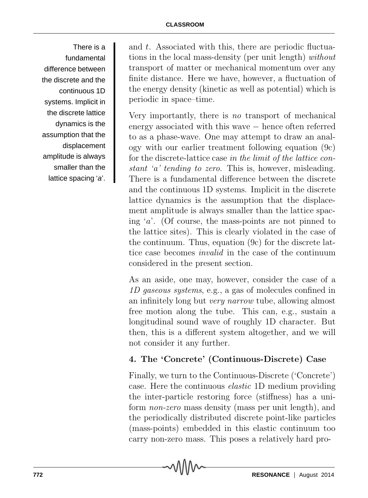There is a fundamental difference between the discrete and the continuous 1D systems. Implicit in the discrete lattice dynamics is the assumption that the displacement amplitude is always smaller than the lattice spacing '*a*'. and t. Associated with this, there are periodic fluctuations in the local mass-density (per unit length) *without* transport of matter or mechanical momentum over any finite distance. Here we have, however, a fluctuation of the energy density (kinetic as well as potential) which is periodic in space–time.

Very importantly, there is *no* transport of mechanical energy associated with this wave *−* hence often referred to as a phase-wave. One may attempt to draw an analogy with our earlier treatment following equation (9c) for the discrete-lattice case *in the limit of the lattice constant 'a' tending to zero*. This is, however, misleading. There is a fundamental difference between the discrete and the continuous 1D systems. Implicit in the discrete lattice dynamics is the assumption that the displacement amplitude is always smaller than the lattice spacing  $a'$ . (Of course, the mass-points are not pinned to the lattice sites). This is clearly violated in the case of the continuum. Thus, equation (9c) for the discrete lattice case becomes *invalid* in the case of the continuum considered in the present section.

As an aside, one may, however, consider the case of a *1D gaseous systems*, e.g., a gas of molecules confined in an infinitely long but *very narrow* tube, allowing almost free motion along the tube. This can, e.g., sustain a longitudinal sound wave of roughly 1D character. But then, this is a different system altogether, and we will not consider it any further.

# **4. The 'Concrete' (Continuous-Discrete) Case**

Finally, we turn to the Continuous-Discrete ('Concrete') case. Here the continuous *elastic* 1D medium providing the inter-particle restoring force (stiffness) has a uniform *non-zero* mass density (mass per unit length), and the periodically distributed discrete point-like particles (mass-points) embedded in this elastic continuum too carry non-zero mass. This poses a relatively hard pro-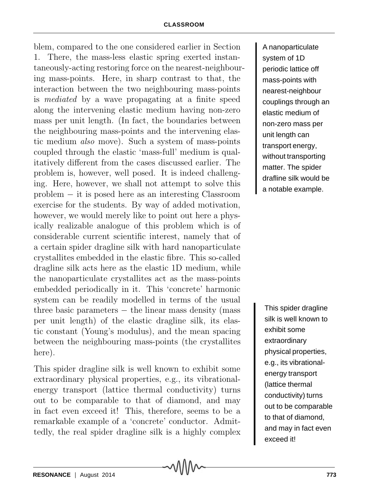#### **CLASSROOM**

blem, compared to the one considered earlier in Section 1. There, the mass-less elastic spring exerted instantaneously-acting restoring force on the nearest-neighbouring mass-points. Here, in sharp contrast to that, the interaction between the two neighbouring mass-points is *mediated* by a wave propagating at a finite speed along the intervening elastic medium having non-zero mass per unit length. (In fact, the boundaries between the neighbouring mass-points and the intervening elastic medium *also* move). Such a system of mass-points coupled through the elastic 'mass-full' medium is qualitatively different from the cases discussed earlier. The problem is, however, well posed. It is indeed challenging. Here, however, we shall not attempt to solve this problem *−* it is posed here as an interesting Classroom exercise for the students. By way of added motivation, however, we would merely like to point out here a physically realizable analogue of this problem which is of considerable current scientific interest, namely that of a certain spider dragline silk with hard nanoparticulate crystallites embedded in the elastic fibre. This so-called dragline silk acts here as the elastic 1D medium, while the nanoparticulate crystallites act as the mass-points embedded periodically in it. This 'concrete' harmonic system can be readily modelled in terms of the usual three basic parameters *−* the linear mass density (mass per unit length) of the elastic dragline silk, its elastic constant (Young's modulus), and the mean spacing between the neighbouring mass-points (the crystallites here).

This spider dragline silk is well known to exhibit some extraordinary physical properties, e.g., its vibrationalenergy transport (lattice thermal conductivity) turns out to be comparable to that of diamond, and may in fact even exceed it! This, therefore, seems to be a remarkable example of a 'concrete' conductor. Admittedly, the real spider dragline silk is a highly complex A nanoparticulate system of 1D periodic lattice off mass-points with nearest-neighbour couplings through an elastic medium of non-zero mass per unit length can transport energy, without transporting matter. The spider drafline silk would be a notable example.

This spider dragline silk is well known to exhibit some extraordinary physical properties, e.g., its vibrationalenergy transport (lattice thermal conductivity) turns out to be comparable to that of diamond, and may in fact even exceed it!